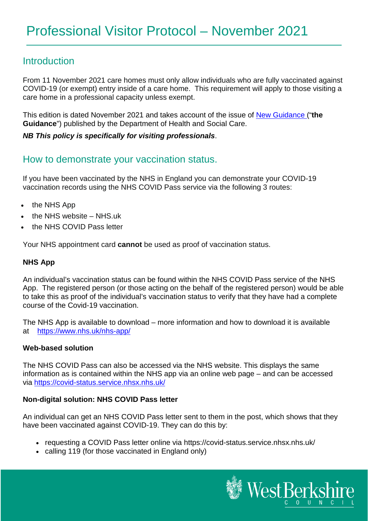## **Introduction**

From 11 November 2021 care homes must only allow individuals who are fully vaccinated against COVID-19 (or exempt) entry inside of a care home. This requirement will apply to those visiting a care home in a professional capacity unless exempt.

This edition is dated November 2021 and takes account of the issue of [New Guidance](https://www.gov.uk/government/publications/vaccination-of-people-working-or-deployed-in-care-homes-operational-guidance/coronavirus-covid-19-vaccination-of-people-working-or-deployed-in-care-homes-operational-guidance) ("**the Guidance**") published by the Department of Health and Social Care.

## *NB This policy is specifically for visiting professionals*.

## How to demonstrate your vaccination status.

If you have been vaccinated by the NHS in England you can demonstrate your COVID-19 vaccination records using the NHS COVID Pass service via the following 3 routes:

- the NHS App
- the NHS website NHS.uk
- the NHS COVID Pass letter

Your NHS appointment card **cannot** be used as proof of vaccination status.

## **NHS App**

An individual's vaccination status can be found within the NHS COVID Pass service of the NHS App. The registered person (or those acting on the behalf of the registered person) would be able to take this as proof of the individual's vaccination status to verify that they have had a complete course of the Covid-19 vaccination.

The NHS App is available to download – more information and how to download it is available at <https://www.nhs.uk/nhs-app/>

### **Web-based solution**

The NHS COVID Pass can also be accessed via the NHS website. This displays the same information as is contained within the NHS app via an online web page – and can be accessed via <https://covid-status.service.nhsx.nhs.uk/>

### **Non-digital solution: NHS COVID Pass letter**

An individual can get an NHS COVID Pass letter sent to them in the post, which shows that they have been vaccinated against COVID-19. They can do this by:

- requesting a COVID Pass letter online via https://covid-status.service.nhsx.nhs.uk/
- calling 119 (for those vaccinated in England only)

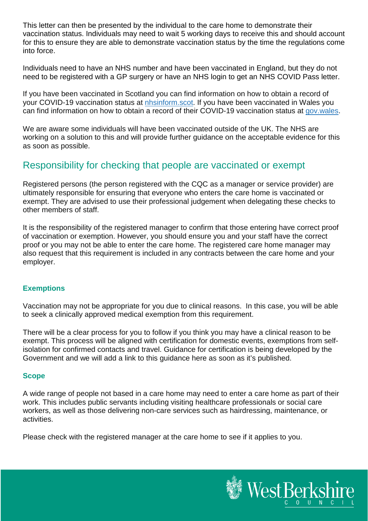This letter can then be presented by the individual to the care home to demonstrate their vaccination status. Individuals may need to wait 5 working days to receive this and should account for this to ensure they are able to demonstrate vaccination status by the time the regulations come into force.

Individuals need to have an NHS number and have been vaccinated in England, but they do not need to be registered with a GP surgery or have an NHS login to get an NHS COVID Pass letter.

If you have been vaccinated in Scotland you can find information on how to obtain a record of your COVID-19 vaccination status at [nhsinform.scot.](https://www.nhsinform.scot/) If you have been vaccinated in Wales you can find information on how to obtain a record of their COVID-19 vaccination status at [gov.wales.](https://gov.wales/)

We are aware some individuals will have been vaccinated outside of the UK. The NHS are working on a solution to this and will provide further guidance on the acceptable evidence for this as soon as possible.

# Responsibility for checking that people are vaccinated or exempt

Registered persons (the person registered with the CQC as a manager or service provider) are ultimately responsible for ensuring that everyone who enters the care home is vaccinated or exempt. They are advised to use their professional judgement when delegating these checks to other members of staff.

It is the responsibility of the registered manager to confirm that those entering have correct proof of vaccination or exemption. However, you should ensure you and your staff have the correct proof or you may not be able to enter the care home. The registered care home manager may also request that this requirement is included in any contracts between the care home and your employer.

## **Exemptions**

Vaccination may not be appropriate for you due to clinical reasons. In this case, you will be able to seek a clinically approved medical exemption from this requirement.

There will be a clear process for you to follow if you think you may have a clinical reason to be exempt. This process will be aligned with certification for domestic events, exemptions from selfisolation for confirmed contacts and travel. Guidance for certification is being developed by the Government and we will add a link to this guidance here as soon as it's published.

## **Scope**

A wide range of people not based in a care home may need to enter a care home as part of their work. This includes public servants including visiting healthcare professionals or social care workers, as well as those delivering non-care services such as hairdressing, maintenance, or activities.

Please check with the registered manager at the care home to see if it applies to you.